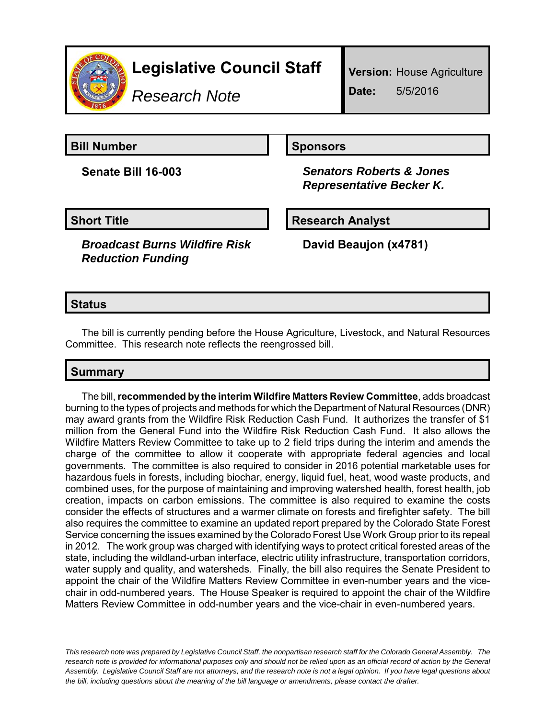

*Research Note*

**Version:** House Agriculture **Date:** 5/5/2016

**Bill Number Sponsors** 

**Senate Bill 16-003** *Senators Roberts & Jones Representative Becker K.*

*Broadcast Burns Wildfire Risk Reduction Funding*

**Short Title Community Community Community Research Analyst** 

**David Beaujon (x4781)**

### **Status**

The bill is currently pending before the House Agriculture, Livestock, and Natural Resources Committee. This research note reflects the reengrossed bill.

## **Summary**

The bill, **recommended by the interim Wildfire Matters Review Committee**, adds broadcast burning to the types of projects and methods for which the Department of Natural Resources (DNR) may award grants from the Wildfire Risk Reduction Cash Fund. It authorizes the transfer of \$1 million from the General Fund into the Wildfire Risk Reduction Cash Fund. It also allows the Wildfire Matters Review Committee to take up to 2 field trips during the interim and amends the charge of the committee to allow it cooperate with appropriate federal agencies and local governments. The committee is also required to consider in 2016 potential marketable uses for hazardous fuels in forests, including biochar, energy, liquid fuel, heat, wood waste products, and combined uses, for the purpose of maintaining and improving watershed health, forest health, job creation, impacts on carbon emissions. The committee is also required to examine the costs consider the effects of structures and a warmer climate on forests and firefighter safety. The bill also requires the committee to examine an updated report prepared by the Colorado State Forest Service concerning the issues examined by the Colorado Forest Use Work Group prior to its repeal in 2012. The work group was charged with identifying ways to protect critical forested areas of the state, including the wildland-urban interface, electric utility infrastructure, transportation corridors, water supply and quality, and watersheds. Finally, the bill also requires the Senate President to appoint the chair of the Wildfire Matters Review Committee in even-number years and the vicechair in odd-numbered years. The House Speaker is required to appoint the chair of the Wildfire Matters Review Committee in odd-number years and the vice-chair in even-numbered years.

*This research note was prepared by Legislative Council Staff, the nonpartisan research staff for the Colorado General Assembly. The research note is provided for informational purposes only and should not be relied upon as an official record of action by the General Assembly. Legislative Council Staff are not attorneys, and the research note is not a legal opinion. If you have legal questions about the bill, including questions about the meaning of the bill language or amendments, please contact the drafter.*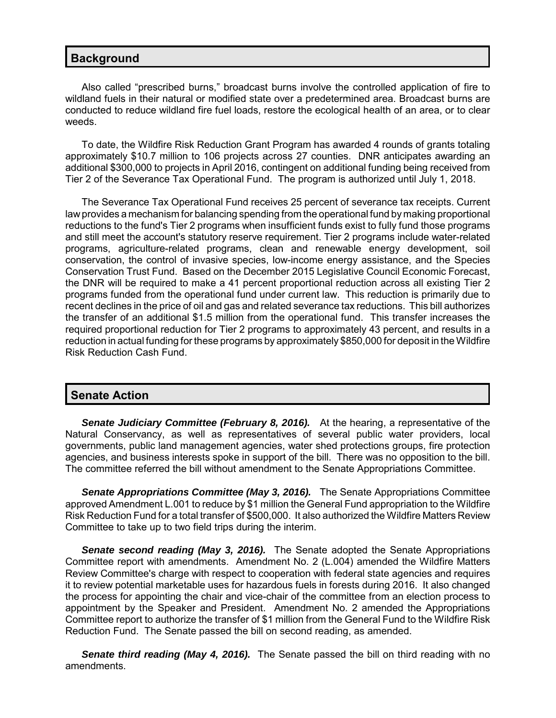#### **Background**

Also called "prescribed burns," broadcast burns involve the controlled application of fire to wildland fuels in their natural or modified state over a predetermined area. Broadcast burns are conducted to reduce wildland fire fuel loads, restore the ecological health of an area, or to clear weeds.

To date, the Wildfire Risk Reduction Grant Program has awarded 4 rounds of grants totaling approximately \$10.7 million to 106 projects across 27 counties. DNR anticipates awarding an additional \$300,000 to projects in April 2016, contingent on additional funding being received from Tier 2 of the Severance Tax Operational Fund. The program is authorized until July 1, 2018.

The Severance Tax Operational Fund receives 25 percent of severance tax receipts. Current law provides a mechanism for balancing spending from the operational fund by making proportional reductions to the fund's Tier 2 programs when insufficient funds exist to fully fund those programs and still meet the account's statutory reserve requirement. Tier 2 programs include water-related programs, agriculture-related programs, clean and renewable energy development, soil conservation, the control of invasive species, low-income energy assistance, and the Species Conservation Trust Fund. Based on the December 2015 Legislative Council Economic Forecast, the DNR will be required to make a 41 percent proportional reduction across all existing Tier 2 programs funded from the operational fund under current law. This reduction is primarily due to recent declines in the price of oil and gas and related severance tax reductions. This bill authorizes the transfer of an additional \$1.5 million from the operational fund. This transfer increases the required proportional reduction for Tier 2 programs to approximately 43 percent, and results in a reduction in actual funding for these programs by approximately \$850,000 for deposit in the Wildfire Risk Reduction Cash Fund.

#### **Senate Action**

**Senate Judiciary Committee (February 8, 2016).** At the hearing, a representative of the Natural Conservancy, as well as representatives of several public water providers, local governments, public land management agencies, water shed protections groups, fire protection agencies, and business interests spoke in support of the bill. There was no opposition to the bill. The committee referred the bill without amendment to the Senate Appropriations Committee.

*Senate Appropriations Committee (May 3, 2016).* The Senate Appropriations Committee approved Amendment L.001 to reduce by \$1 million the General Fund appropriation to the Wildfire Risk Reduction Fund for a total transfer of \$500,000. It also authorized the Wildfire Matters Review Committee to take up to two field trips during the interim.

**Senate second reading (May 3, 2016).** The Senate adopted the Senate Appropriations Committee report with amendments. Amendment No. 2 (L.004) amended the Wildfire Matters Review Committee's charge with respect to cooperation with federal state agencies and requires it to review potential marketable uses for hazardous fuels in forests during 2016. It also changed the process for appointing the chair and vice-chair of the committee from an election process to appointment by the Speaker and President. Amendment No. 2 amended the Appropriations Committee report to authorize the transfer of \$1 million from the General Fund to the Wildfire Risk Reduction Fund. The Senate passed the bill on second reading, as amended.

*Senate third reading (May 4, 2016).* The Senate passed the bill on third reading with no amendments.